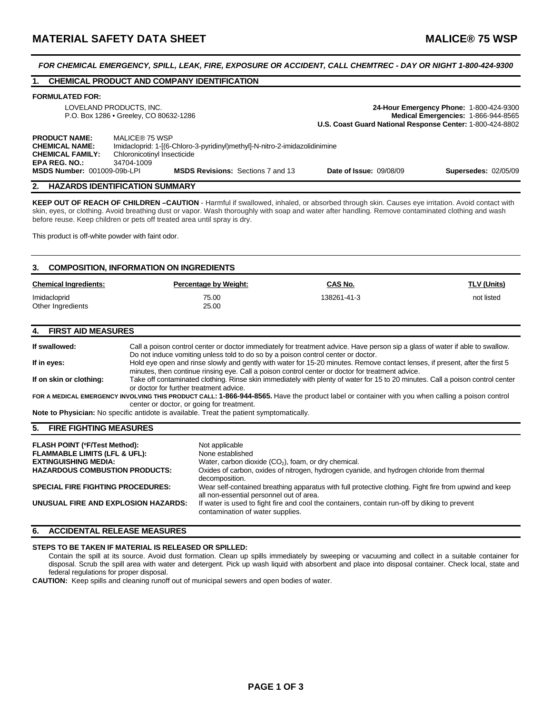### *FOR CHEMICAL EMERGENCY, SPILL, LEAK, FIRE, EXPOSURE OR ACCIDENT, CALL CHEMTREC - DAY OR NIGHT 1-800-424-9300*

# **1. CHEMICAL PRODUCT AND COMPANY IDENTIFICATION**

### **FORMULATED FOR:**

| LOVELAND PRODUCTS. INC.<br>P.O. Box 1286 • Greeley, CO 80632-1286                                |                                                                                                                                           | 24-Hour Emergency Phone: 1-800-424-9300<br>Medical Emergencies: 1-866-944-8565 |                             |
|--------------------------------------------------------------------------------------------------|-------------------------------------------------------------------------------------------------------------------------------------------|--------------------------------------------------------------------------------|-----------------------------|
|                                                                                                  |                                                                                                                                           | U.S. Coast Guard National Response Center: 1-800-424-8802                      |                             |
| <b>PRODUCT NAME:</b><br><b>CHEMICAL NAME:</b><br><b>CHEMICAL FAMILY:</b><br><b>EPA REG. NO.:</b> | MALICE® 75 WSP<br>Imidacloprid: 1-[(6-Chloro-3-pyridinyl)methyl]-N-nitro-2-imidazolidinimine<br>Chloronicotinyl Insecticide<br>34704-1009 |                                                                                |                             |
| <b>MSDS Number: 001009-09b-LPI</b>                                                               | <b>MSDS Revisions: Sections 7 and 13</b>                                                                                                  | <b>Date of Issue: 09/08/09</b>                                                 | <b>Supersedes: 02/05/09</b> |

## **2. HAZARDS IDENTIFICATION SUMMARY**

**KEEP OUT OF REACH OF CHILDREN –CAUTION** - Harmful if swallowed, inhaled, or absorbed through skin. Causes eye irritation. Avoid contact with skin, eyes, or clothing. Avoid breathing dust or vapor. Wash thoroughly with soap and water after handling. Remove contaminated clothing and wash before reuse. Keep children or pets off treated area until spray is dry.

This product is off-white powder with faint odor.

| 3.<br><b>COMPOSITION, INFORMATION ON INGREDIENTS</b> |                              |             |             |  |  |
|------------------------------------------------------|------------------------------|-------------|-------------|--|--|
| <b>Chemical Ingredients:</b>                         | <b>Percentage by Weight:</b> | CAS No.     | TLV (Units) |  |  |
| Imidacloprid<br>Other Ingredients                    | 75.00<br>25.00               | 138261-41-3 | not listed  |  |  |

### **4. FIRST AID MEASURES**

| If swallowed:           | Call a poison control center or doctor immediately for treatment advice. Have person sip a glass of water if able to swallow.                   |
|-------------------------|-------------------------------------------------------------------------------------------------------------------------------------------------|
|                         | Do not induce vomiting unless told to do so by a poison control center or doctor.                                                               |
| If in eyes:             | Hold eye open and rinse slowly and gently with water for 15-20 minutes. Remove contact lenses, if present, after the first 5                    |
|                         | minutes, then continue rinsing eye. Call a poison control center or doctor for treatment advice.                                                |
| If on skin or clothing: | Take off contaminated clothing. Rinse skin immediately with plenty of water for 15 to 20 minutes. Call a poison control center                  |
|                         | or doctor for further treatment advice.                                                                                                         |
|                         | FOR A MEDICAL EMERGENCY INVOLVING THIS PRODUCT CALL: 1-866-944-8565. Have the product label or container with you when calling a poison control |
|                         | center or doctor, or going for treatment.                                                                                                       |
|                         | Note to Physician: No specific antidote is available. Treat the patient symptomatically.                                                        |
|                         |                                                                                                                                                 |

### **5. FIRE FIGHTING MEASURES**

| <b>FLASH POINT (°F/Test Method):</b><br><b>FLAMMABLE LIMITS (LFL &amp; UFL):</b><br><b>EXTINGUISHING MEDIA:</b><br><b>HAZARDOUS COMBUSTION PRODUCTS:</b> | Not applicable<br>None established<br>Water, carbon dioxide $(CO2)$ , foam, or dry chemical.<br>Oxides of carbon, oxides of nitrogen, hydrogen cyanide, and hydrogen chloride from thermal<br>decomposition. |
|----------------------------------------------------------------------------------------------------------------------------------------------------------|--------------------------------------------------------------------------------------------------------------------------------------------------------------------------------------------------------------|
| <b>SPECIAL FIRE FIGHTING PROCEDURES:</b>                                                                                                                 | Wear self-contained breathing apparatus with full protective clothing. Fight fire from upwind and keep<br>all non-essential personnel out of area.                                                           |
| UNUSUAL FIRE AND EXPLOSION HAZARDS:                                                                                                                      | If water is used to fight fire and cool the containers, contain run-off by diking to prevent<br>contamination of water supplies.                                                                             |

## **6. ACCIDENTAL RELEASE MEASURES**

#### **STEPS TO BE TAKEN IF MATERIAL IS RELEASED OR SPILLED:**

Contain the spill at its source. Avoid dust formation. Clean up spills immediately by sweeping or vacuuming and collect in a suitable container for disposal. Scrub the spill area with water and detergent. Pick up wash liquid with absorbent and place into disposal container. Check local, state and federal regulations for proper disposal.

**CAUTION:** Keep spills and cleaning runoff out of municipal sewers and open bodies of water.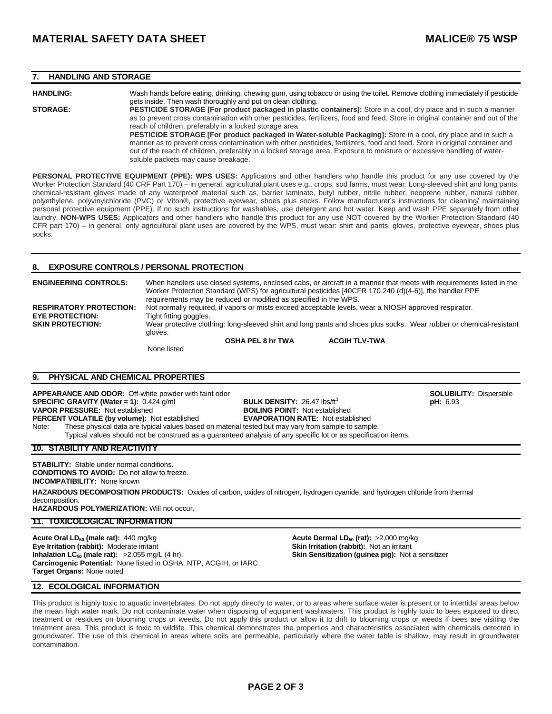## **7. HANDLING AND STORAGE**

**HANDLING:** Wash hands before eating, drinking, chewing gum, using tobacco or using the toilet. Remove clothing immediately if pesticide gets inside. Then wash thoroughly and put on clean clothing. **STORAGE: PESTICIDE STORAGE [For product packaged in plastic containers]:** Store in a cool, dry place and in such a manner as to prevent cross contamination with other pesticides, fertilizers, food and feed. Store in original container and out of the reach of children, preferably in a locked storage area. PESTICIDE STORAGE [For product packaged in Water-soluble Packaging]: Store in a cool, dry place and in such a manner as to prevent cross contamination with other pesticides, fertilizers, food and feed. Store in original container and out of the reach of children, preferably in a locked storage area. Exposure to moisture or excessive handling of watersoluble packets may cause breakage.

**PERSONAL PROTECTIVE EQUIPMENT (PPE): WPS USES:** Applicators and other handlers who handle this product for any use covered by the Worker Protection Standard (40 CRF Part 170) – in general, agricultural plant uses e.g., crops, sod farms, must wear: Long-sleeved shirt and long pants, chemical-resistant gloves made of any waterproof material such as, barrier laminate, butyl rubber, nitrile rubber, neoprene rubber, natural rubber, polyethylene, polyvinylchloride (PVC) or Viton®, protective eyewear, shoes plus socks. Follow manufacturer's instructions for cleaning/ maintaining personal protective equipment (PPE). If no such instructions for washables, use detergent and hot water. Keep and wash PPE separately from other laundry. **NON-WPS USES:** Applicators and other handlers who handle this product for any use NOT covered by the Worker Protection Standard (40 CFR part 170) – in general, only agricultural plant uses are covered by the WPS, must wear: shirt and pants, gloves, protective eyewear, shoes plus socks.

## **8. EXPOSURE CONTROLS / PERSONAL PROTECTION**

**ENGINEERING CONTROLS:** When handlers use closed systems, enclosed cabs, or aircraft in a manner that meets with requirements listed in the Worker Protection Standard (WPS) for agricultural pesticides [40CFR 170.240 (d)(4-6)], the handler PPE requirements may be reduced or modified as specified in the WPS. **RESPIRATORY PROTECTION:** Not normally required, if vapors or mists exceed acceptable levels, wear a NIOSH approved respirator. **EYE PROTECTION:** Tight fitting goggles.<br> **SKIN PROTECTION:** Wear protective clot Wear protective clothing: long-sleeved shirt and long pants and shoes plus socks. Wear rubber or chemical-resistant gloves. **OSHA PEL 8 hr TWA ACGIH TLV-TWA** None listed

# **9. PHYSICAL AND CHEMICAL PROPERTIES**

**APPEARANCE AND ODOR:** Off-white powder with faint odor **SOLUBILITY:** Dispersible **SPECIFIC GRAVITY (Water = 1):** 0.424 g/ml **BULK DENSITY:** 26.47 lbs/ft<sup>3</sup> **pH:** 6.93 **pH:** 6.93 **pH:** 6.93 **pH:** 6.93 **VAPOR PRESSURE:** Not established **PERCENT VOLATILE (by volume):** Not established **EVAPORATION RATE:** Not established Note: These physical data are typical values based on material tested but may vary from sample to sample.

Typical values should not be construed as a guaranteed analysis of any specific lot or as specification items.

**10. STABILITY AND REACTIVITY** 

**STABILITY:** Stable under normal conditions. **CONDITIONS TO AVOID:** Do not allow to freeze. **INCOMPATIBILITY:** None known

**HAZARDOUS DECOMPOSITION PRODUCTS:** Oxides of carbon, oxides of nitrogen, hydrogen cyanide, and hydrogen chloride from thermal decomposition.

**HAZARDOUS POLYMERIZATION:** Will not occur.

#### **11. TOXICOLOGICAL INFORMATION**

**Acute Oral LD<sub>50</sub> (male rat):** 440 mg/kg **Acute Dermal LD<sub>50</sub> (rat): >2,000 mg/kg <b>Acute Dermal LD**<sub>50</sub> (rat): >2,000 mg/kg **Eye Irritation (rabbit):** Moderate irritant **Skin Irritation (rabbit):** Not an irritant **Inhalation (computer): Skin Irritation (guinea pig):** Not an **i**nhalation (guinea pig): Not an **i**nhalation (guinea pig): Not and **Carcinogenic Potential:** None listed in OSHA, NTP, ACGIH, or IARC. **Target Organs:** None noted

**Skin Sensitization (guinea pig):** Not a sensitizer

## **12. ECOLOGICAL INFORMATION**

This product is highly toxic to aquatic invertebrates. Do not apply directly to water, or to areas where surface water is present or to intertidal areas below the mean high water mark. Do not contaminate water when disposing of equipment washwaters. This product is highly toxic to bees exposed to direct treatment or residues on blooming crops or weeds. Do not apply this product or allow it to drift to blooming crops or weeds if bees are visiting the treatment area. This product is toxic to wildlife. This chemical demonstrates the properties and characteristics associated with chemicals detected in groundwater. The use of this chemical in areas where soils are permeable, particularly where the water table is shallow, may result in groundwater contamination.